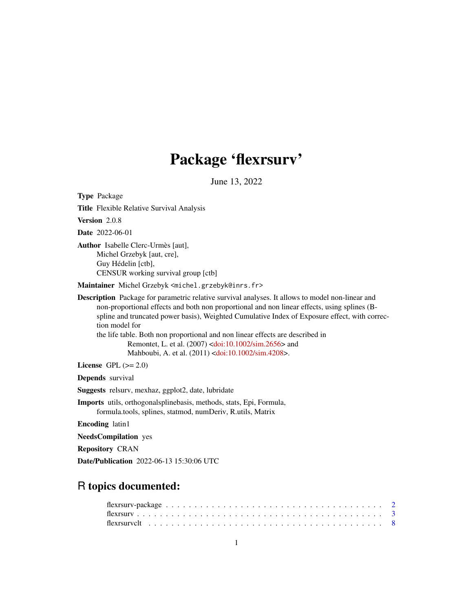# Package 'flexrsurv'

June 13, 2022

<span id="page-0-0"></span>Type Package Title Flexible Relative Survival Analysis Version 2.0.8 Date 2022-06-01 Author Isabelle Clerc-Urmès [aut], Michel Grzebyk [aut, cre], Guy Hédelin [ctb], CENSUR working survival group [ctb] Maintainer Michel Grzebyk <michel.grzebyk@inrs.fr> Description Package for parametric relative survival analyses. It allows to model non-linear and non-proportional effects and both non proportional and non linear effects, using splines (Bspline and truncated power basis), Weighted Cumulative Index of Exposure effect, with correction model for the life table. Both non proportional and non linear effects are described in Remontet, L. et al. (2007) [<doi:10.1002/sim.2656>](https://doi.org/10.1002/sim.2656) and Mahboubi, A. et al. (2011) [<doi:10.1002/sim.4208>](https://doi.org/10.1002/sim.4208). License GPL  $(>= 2.0)$ Depends survival Suggests relsurv, mexhaz, ggplot2, date, lubridate Imports utils, orthogonalsplinebasis, methods, stats, Epi, Formula, formula.tools, splines, statmod, numDeriv, R.utils, Matrix Encoding latin1 NeedsCompilation yes Repository CRAN

Date/Publication 2022-06-13 15:30:06 UTC

# R topics documented: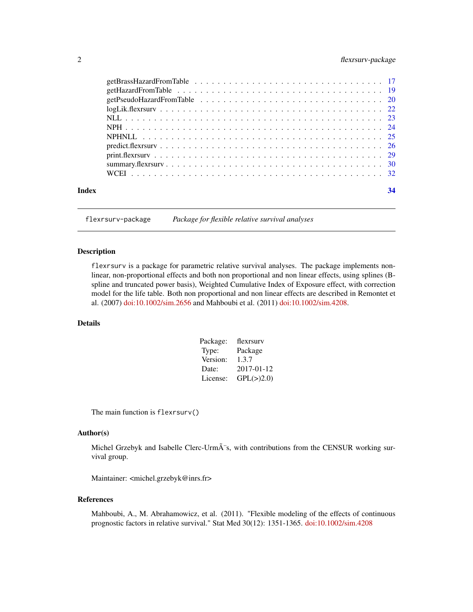# <span id="page-1-0"></span>2 flexrsurv-package

| Index |                                                                                                           | 34 |
|-------|-----------------------------------------------------------------------------------------------------------|----|
|       |                                                                                                           |    |
|       |                                                                                                           |    |
|       |                                                                                                           |    |
|       |                                                                                                           |    |
|       |                                                                                                           |    |
|       |                                                                                                           |    |
|       |                                                                                                           |    |
|       | $logLik.flexrsurv \ldots \ldots \ldots \ldots \ldots \ldots \ldots \ldots \ldots \ldots \ldots \ldots 22$ |    |
|       |                                                                                                           |    |
|       |                                                                                                           |    |
|       |                                                                                                           |    |

flexrsurv-package *Package for flexible relative survival analyses*

# Description

flexrsurv is a package for parametric relative survival analyses. The package implements nonlinear, non-proportional effects and both non proportional and non linear effects, using splines (Bspline and truncated power basis), Weighted Cumulative Index of Exposure effect, with correction model for the life table. Both non proportional and non linear effects are described in Remontet et al. (2007) [doi:10.1002/sim.2656](https://doi.org/10.1002/sim.2656) and Mahboubi et al. (2011) [doi:10.1002/sim.4208.](https://doi.org/10.1002/sim.4208)

# Details

| Package: | flexrsury  |
|----------|------------|
| Type:    | Package    |
| Version: | 1.3.7      |
| Date:    | 2017-01-12 |
| License: | GPL(>)2.0) |

The main function is flexrsurv()

#### Author(s)

Michel Grzebyk and Isabelle Clerc-Urmà s, with contributions from the CENSUR working survival group.

Maintainer: <michel.grzebyk@inrs.fr>

#### References

Mahboubi, A., M. Abrahamowicz, et al. (2011). "Flexible modeling of the effects of continuous prognostic factors in relative survival." Stat Med 30(12): 1351-1365. [doi:10.1002/sim.4208](https://doi.org/10.1002/sim.4208)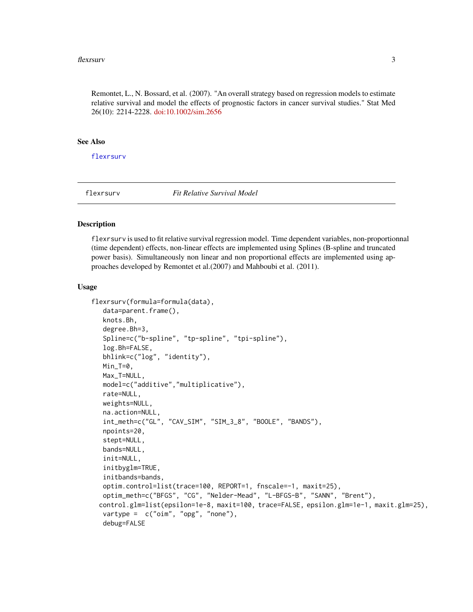#### <span id="page-2-0"></span>flexrsurv 3

Remontet, L., N. Bossard, et al. (2007). "An overall strategy based on regression models to estimate relative survival and model the effects of prognostic factors in cancer survival studies." Stat Med 26(10): 2214-2228. [doi:10.1002/sim.2656](https://doi.org/10.1002/sim.2656)

#### See Also

[flexrsurv](#page-2-1)

<span id="page-2-1"></span>

flexrsurv *Fit Relative Survival Model*

#### **Description**

flexrsurv is used to fit relative survival regression model. Time dependent variables, non-proportionnal (time dependent) effects, non-linear effects are implemented using Splines (B-spline and truncated power basis). Simultaneously non linear and non proportional effects are implemented using approaches developed by Remontet et al.(2007) and Mahboubi et al. (2011).

#### Usage

```
flexrsurv(formula=formula(data),
  data=parent.frame(),
  knots.Bh,
  degree.Bh=3,
  Spline=c("b-spline", "tp-spline", "tpi-spline"),
  log.Bh=FALSE,
  bhlink=c("log", "identity"),
  Min_T=0,
  Max_T=NULL,
  model=c("additive","multiplicative"),
  rate=NULL,
  weights=NULL,
  na.action=NULL,
  int_meth=c("GL", "CAV_SIM", "SIM_3_8", "BOOLE", "BANDS"),
  npoints=20,
  stept=NULL,
  bands=NULL,
  init=NULL,
  initbyglm=TRUE,
  initbands=bands,
  optim.control=list(trace=100, REPORT=1, fnscale=-1, maxit=25),
  optim_meth=c("BFGS", "CG", "Nelder-Mead", "L-BFGS-B", "SANN", "Brent"),
  control.glm=list(epsilon=1e-8, maxit=100, trace=FALSE, epsilon.glm=1e-1, maxit.glm=25),
  vartype = c("oim", "opg", "none"),
  debug=FALSE
```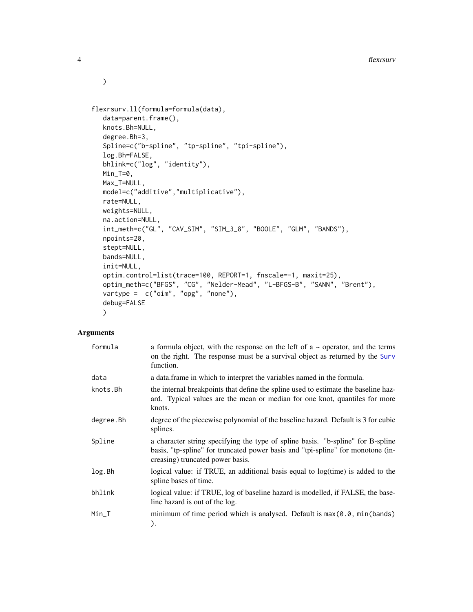```
flexrsurv.ll(formula=formula(data),
  data=parent.frame(),
  knots.Bh=NULL,
  degree.Bh=3,
  Spline=c("b-spline", "tp-spline", "tpi-spline"),
  log.Bh=FALSE,
  bhlink=c("log", "identity"),
  Min_T=0,
  Max_T=NULL,
  model=c("additive","multiplicative"),
  rate=NULL,
  weights=NULL,
  na.action=NULL,
  int_meth=c("GL", "CAV_SIM", "SIM_3_8", "BOOLE", "GLM", "BANDS"),
  npoints=20,
  stept=NULL,
  bands=NULL,
  init=NULL,
  optim.control=list(trace=100, REPORT=1, fnscale=-1, maxit=25),
  optim_meth=c("BFGS", "CG", "Nelder-Mead", "L-BFGS-B", "SANN", "Brent"),
  vartype = c("oim", "opg", "none"),
  debug=FALSE
  )
```
# Arguments

| formula   | a formula object, with the response on the left of $a \sim$ operator, and the terms<br>on the right. The response must be a survival object as returned by the Surv<br>function.                       |
|-----------|--------------------------------------------------------------------------------------------------------------------------------------------------------------------------------------------------------|
| data      | a data. frame in which to interpret the variables named in the formula.                                                                                                                                |
| knots.Bh  | the internal breakpoints that define the spline used to estimate the baseline haz-<br>ard. Typical values are the mean or median for one knot, quantiles for more<br>knots.                            |
| degree.Bh | degree of the piecewise polynomial of the baseline hazard. Default is 3 for cubic<br>splines.                                                                                                          |
| Spline    | a character string specifying the type of spline basis. "b-spline" for B-spline<br>basis, "tp-spline" for truncated power basis and "tpi-spline" for monotone (in-<br>creasing) truncated power basis. |
| log.Bh    | logical value: if TRUE, an additional basis equal to $log(time)$ is added to the<br>spline bases of time.                                                                                              |
| bhlink    | logical value: if TRUE, log of baseline hazard is modelled, if FALSE, the base-<br>line hazard is out of the log.                                                                                      |
| Min_T     | minimum of time period which is analysed. Default is $max(0.0, min(bands))$<br>).                                                                                                                      |

<span id="page-3-0"></span>

 $\mathcal{L}$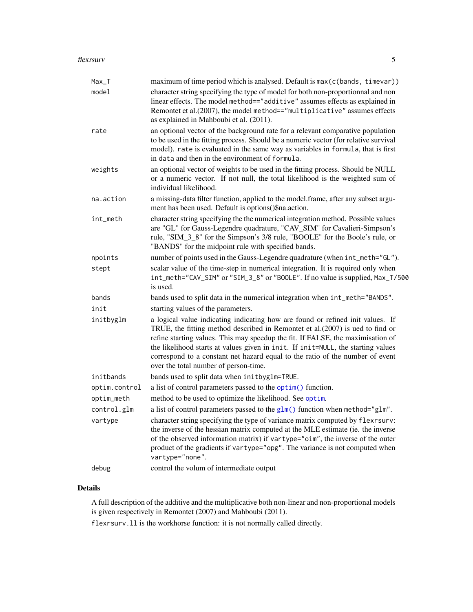#### <span id="page-4-0"></span>flexrsurv 5

| $Max_T$       | maximum of time period which is analysed. Default is max(c(bands, timevar))                                                                                                                                                                                                                                                                                                                                                                                      |
|---------------|------------------------------------------------------------------------------------------------------------------------------------------------------------------------------------------------------------------------------------------------------------------------------------------------------------------------------------------------------------------------------------------------------------------------------------------------------------------|
| model         | character string specifying the type of model for both non-proportionnal and non<br>linear effects. The model method=="additive" assumes effects as explained in<br>Remontet et al.(2007), the model method=="multiplicative" assumes effects<br>as explained in Mahboubi et al. (2011).                                                                                                                                                                         |
| rate          | an optional vector of the background rate for a relevant comparative population<br>to be used in the fitting process. Should be a numeric vector (for relative survival<br>model). rate is evaluated in the same way as variables in formula, that is first<br>in data and then in the environment of formula.                                                                                                                                                   |
| weights       | an optional vector of weights to be used in the fitting process. Should be NULL<br>or a numeric vector. If not null, the total likelihood is the weighted sum of<br>individual likelihood.                                                                                                                                                                                                                                                                       |
| na.action     | a missing-data filter function, applied to the model.frame, after any subset argu-<br>ment has been used. Default is options()\$na.action.                                                                                                                                                                                                                                                                                                                       |
| int_meth      | character string specifying the the numerical integration method. Possible values<br>are "GL" for Gauss-Legendre quadrature, "CAV_SIM" for Cavalieri-Simpson's<br>rule, "SIM_3_8" for the Simpson's 3/8 rule, "BOOLE" for the Boole's rule, or<br>"BANDS" for the midpoint rule with specified bands.                                                                                                                                                            |
| npoints       | number of points used in the Gauss-Legendre quadrature (when int_meth="GL").                                                                                                                                                                                                                                                                                                                                                                                     |
| stept         | scalar value of the time-step in numerical integration. It is required only when<br>int_meth="CAV_SIM" or "SIM_3_8" or "BOOLE". If no value is supplied, Max_T/500<br>is used.                                                                                                                                                                                                                                                                                   |
| bands         | bands used to split data in the numerical integration when int_meth="BANDS".                                                                                                                                                                                                                                                                                                                                                                                     |
| init          | starting values of the parameters.                                                                                                                                                                                                                                                                                                                                                                                                                               |
| initbyglm     | a logical value indicating indicating how are found or refined init values. If<br>TRUE, the fitting method described in Remontet et al.(2007) is ued to find or<br>refine starting values. This may speedup the fit. If FALSE, the maximisation of<br>the likelihood starts at values given in init. If init=NULL, the starting values<br>correspond to a constant net hazard equal to the ratio of the number of event<br>over the total number of person-time. |
| initbands     | bands used to split data when initbyglm=TRUE.                                                                                                                                                                                                                                                                                                                                                                                                                    |
| optim.control | a list of control parameters passed to the optim() function.                                                                                                                                                                                                                                                                                                                                                                                                     |
| optim_meth    | method to be used to optimize the likelihood. See optim.                                                                                                                                                                                                                                                                                                                                                                                                         |
| control.glm   | a list of control parameters passed to the $glm()$ function when method=" $glm"$ .                                                                                                                                                                                                                                                                                                                                                                               |
| vartype       | character string specifying the type of variance matrix computed by flexrsurv:<br>the inverse of the hessian matrix computed at the MLE estimate (ie. the inverse<br>of the observed information matrix) if vartype="oim", the inverse of the outer<br>product of the gradients if vartype="opg". The variance is not computed when<br>vartype="none".                                                                                                           |
| debug         | control the volum of intermediate output                                                                                                                                                                                                                                                                                                                                                                                                                         |

# Details

A full description of the additive and the multiplicative both non-linear and non-proportional models is given respectively in Remontet (2007) and Mahboubi (2011).

flexrsurv.ll is the workhorse function: it is not normally called directly.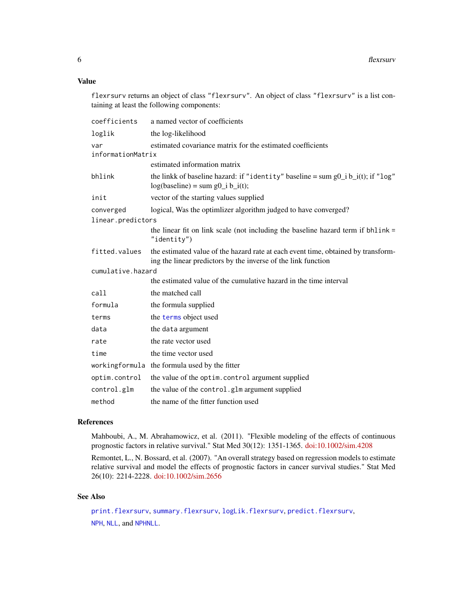# Value

flexrsurv returns an object of class "flexrsurv". An object of class "flexrsurv" is a list containing at least the following components:

| coefficients             | a named vector of coefficients                                                                                                                     |
|--------------------------|----------------------------------------------------------------------------------------------------------------------------------------------------|
| loglik                   | the log-likelihood                                                                                                                                 |
| var<br>informationMatrix | estimated covariance matrix for the estimated coefficients                                                                                         |
|                          | estimated information matrix                                                                                                                       |
| bhlink                   | the linkk of baseline hazard: if "identity" baseline = sum $g0_i$ i $b_i(t)$ ; if "log"<br>$log(baseline) = sum g0_i b_i(t);$                      |
| init                     | vector of the starting values supplied                                                                                                             |
| converged                | logical, Was the optimizer algorithm judged to have converged?                                                                                     |
| linear.predictors        |                                                                                                                                                    |
|                          | the linear fit on link scale (not including the baseline hazard term if bhlink =<br>" $identity")$                                                 |
| fitted.values            | the estimated value of the hazard rate at each event time, obtained by transform-<br>ing the linear predictors by the inverse of the link function |
| cumulative.hazard        |                                                                                                                                                    |
|                          | the estimated value of the cumulative hazard in the time interval                                                                                  |
| call                     | the matched call                                                                                                                                   |
| formula                  | the formula supplied                                                                                                                               |
| terms                    | the terms object used                                                                                                                              |
| data                     | the data argument                                                                                                                                  |
| rate                     | the rate vector used                                                                                                                               |
| time                     | the time vector used                                                                                                                               |
|                          | workingformula the formula used by the fitter                                                                                                      |
| optim.control            | the value of the optim. control argument supplied                                                                                                  |
| control.glm              | the value of the control.glm argument supplied                                                                                                     |
| method                   | the name of the fitter function used                                                                                                               |

#### References

Mahboubi, A., M. Abrahamowicz, et al. (2011). "Flexible modeling of the effects of continuous prognostic factors in relative survival." Stat Med 30(12): 1351-1365. [doi:10.1002/sim.4208](https://doi.org/10.1002/sim.4208)

Remontet, L., N. Bossard, et al. (2007). "An overall strategy based on regression models to estimate relative survival and model the effects of prognostic factors in cancer survival studies." Stat Med 26(10): 2214-2228. [doi:10.1002/sim.2656](https://doi.org/10.1002/sim.2656)

# See Also

[print.flexrsurv](#page-28-1), [summary.flexrsurv](#page-29-1), [logLik.flexrsurv](#page-21-1), [predict.flexrsurv](#page-25-1), [NPH](#page-23-1), [NLL](#page-22-1), and [NPHNLL](#page-24-1).

<span id="page-5-0"></span>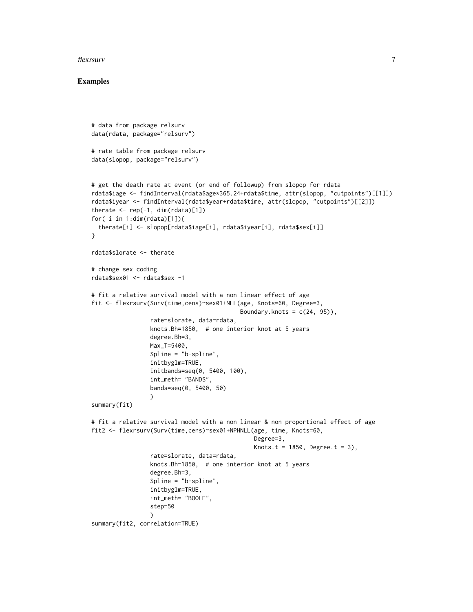#### flexrsurv 7

#### Examples

```
# data from package relsurv
data(rdata, package="relsurv")
# rate table from package relsurv
data(slopop, package="relsurv")
# get the death rate at event (or end of followup) from slopop for rdata
rdata$iage <- findInterval(rdata$age*365.24+rdata$time, attr(slopop, "cutpoints")[[1]])
rdata$iyear <- findInterval(rdata$year+rdata$time, attr(slopop, "cutpoints")[[2]])
therate \leq rep(-1, dim(rdata)[1])
for( i in 1:dim(rdata)[1]){
 therate[i] <- slopop[rdata$iage[i], rdata$iyear[i], rdata$sex[i]]
}
rdata$slorate <- therate
# change sex coding
rdata$sex01 <- rdata$sex -1
# fit a relative survival model with a non linear effect of age
fit <- flexrsurv(Surv(time,cens)~sex01+NLL(age, Knots=60, Degree=3,
                                           Boundary.knots = c(24, 95),
                 rate=slorate, data=rdata,
                 knots.Bh=1850, # one interior knot at 5 years
                 degree.Bh=3,
                 Max_T=5400,
                 Spline = "b-spline",
                 initbyglm=TRUE,
                 initbands=seq(0, 5400, 100),
                 int_meth= "BANDS",
                 bands=seq(0, 5400, 50)
                 )
summary(fit)
# fit a relative survival model with a non linear & non proportional effect of age
fit2 <- flexrsurv(Surv(time,cens)~sex01+NPHNLL(age, time, Knots=60,
                                               Degree=3,
                                               Knots.t = 1850, Degree.t = 3),
                 rate=slorate, data=rdata,
                 knots.Bh=1850, # one interior knot at 5 years
                 degree.Bh=3,
                 Spline = "b-spline",
                 initbyglm=TRUE,
                 int_meth= "BOOLE",
                 step=50
                 \lambdasummary(fit2, correlation=TRUE)
```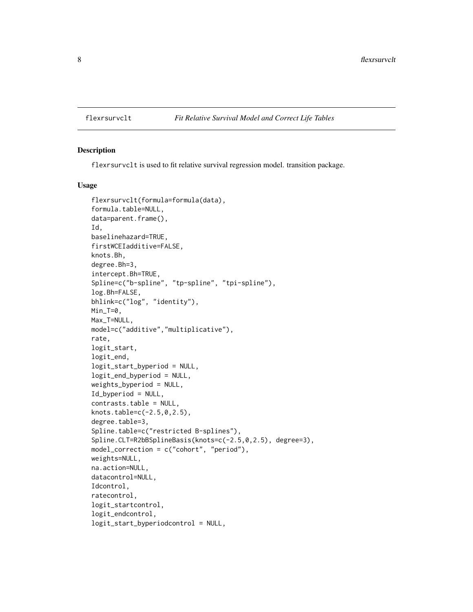<span id="page-7-1"></span><span id="page-7-0"></span>

#### Description

flexrsurvclt is used to fit relative survival regression model. transition package.

#### Usage

```
flexrsurvclt(formula=formula(data),
formula.table=NULL,
data=parent.frame(),
Id,
baselinehazard=TRUE,
firstWCEIadditive=FALSE,
knots.Bh,
degree.Bh=3,
intercept.Bh=TRUE,
Spline=c("b-spline", "tp-spline", "tpi-spline"),
log.Bh=FALSE,
bhlink=c("log", "identity"),
Min_T=0,
Max_T=NULL,
model=c("additive","multiplicative"),
rate,
logit_start,
logit_end,
logit_start_byperiod = NULL,
logit_end_byperiod = NULL,
weights_byperiod = NULL,
Id_byperiod = NULL,
contrasts.table = NULL,
knots.table=c(-2.5,0,2.5),
degree.table=3,
Spline.table=c("restricted B-splines"),
Spline.CLT=R2bBSplineBasis(knots=c(-2.5,0,2.5), degree=3),
model_correction = c("cohort", "period"),
weights=NULL,
na.action=NULL,
datacontrol=NULL,
Idcontrol,
ratecontrol,
logit_startcontrol,
logit_endcontrol,
logit_start_byperiodcontrol = NULL,
```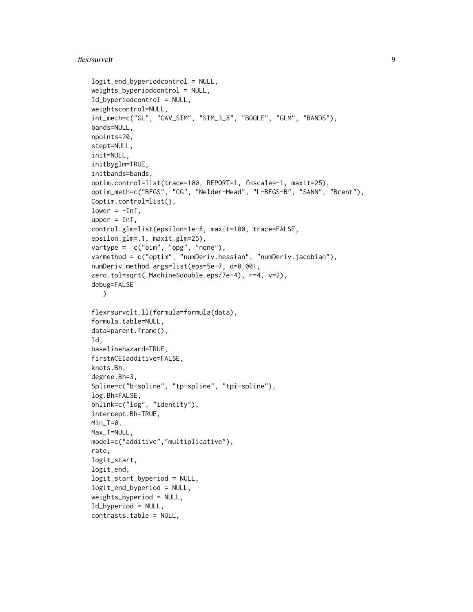#### flexrsurvclt 9

```
logit_end_byperiodcontrol = NULL,
weights_byperiodcontrol = NULL,
Id_byperiodcontrol = NULL,
weightscontrol=NULL,
int_meth=c("GL", "CAV_SIM", "SIM_3_8", "BOOLE", "GLM", "BANDS"),
bands=NULL,
npoints=20,
stept=NULL,
init=NULL,
initbyglm=TRUE,
initbands=bands,
optim.control=list(trace=100, REPORT=1, fnscale=-1, maxit=25),
optim_meth=c("BFGS", "CG", "Nelder-Mead", "L-BFGS-B", "SANN", "Brent"),
Coptim.control=list(),
lower = -Inf,upper = Inf,
control.glm=list(epsilon=1e-8, maxit=100, trace=FALSE,
epsilon.glm=.1, maxit.glm=25),
vartype = c("oim", "opg", "none"),varmethod = c("optim", "numDeriv.hessian", "numDeriv.jacobian"),
numDeriv.method.args=list(eps=5e-7, d=0.001,
zero.tol=sqrt(.Machine$double.eps/7e-4), r=4, v=2),
debug=FALSE
   \mathcal{L}flexrsurvclt.ll(formula=formula(data),
formula.table=NULL,
data=parent.frame(),
Id,
baselinehazard=TRUE,
firstWCEIadditive=FALSE,
knots.Bh,
degree.Bh=3,
Spline=c("b-spline", "tp-spline", "tpi-spline"),
log.Bh=FALSE,
bhlink=c("log", "identity"),
intercept.Bh=TRUE,
Min_T=0,
Max_T=NULL,
model=c("additive","multiplicative"),
rate,
logit_start,
logit_end,
logit_start_byperiod = NULL,
logit_end_byperiod = NULL,
weights_byperiod = NULL,
Id_byperiod = NULL,
contrasts.table = NULL,
```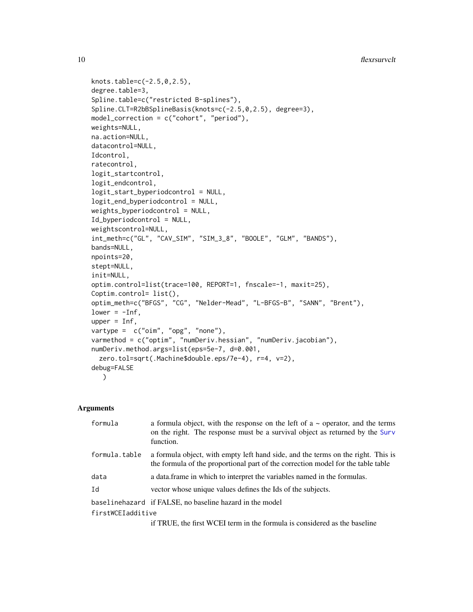```
knots.table=c(-2.5,0,2.5),
degree.table=3,
Spline.table=c("restricted B-splines"),
Spline.CLT=R2bBSplineBasis(knots=c(-2.5,0,2.5), degree=3),
model_correction = c("cohort", "period"),
weights=NULL,
na.action=NULL,
datacontrol=NULL,
Idcontrol,
ratecontrol,
logit_startcontrol,
logit_endcontrol,
logit_start_byperiodcontrol = NULL,
logit_end_byperiodcontrol = NULL,
weights_byperiodcontrol = NULL,
Id_byperiodcontrol = NULL,
weightscontrol=NULL,
int_meth=c("GL", "CAV_SIM", "SIM_3_8", "BOOLE", "GLM", "BANDS"),
bands=NULL,
npoints=20,
stept=NULL,
init=NULL,
optim.control=list(trace=100, REPORT=1, fnscale=-1, maxit=25),
Coptim.control= list(),
optim_meth=c("BFGS", "CG", "Nelder-Mead", "L-BFGS-B", "SANN", "Brent"),
lower = -Inf,upper = Inf,
vartype = c("oim", "opg", "none"),
varmethod = c("optim", "numDeriv.hessian", "numDeriv.jacobian"),
numDeriv.method.args=list(eps=5e-7, d=0.001,
  zero.tol=sqrt(.Machine$double.eps/7e-4), r=4, v=2),
debug=FALSE
   )
```
### Arguments

| formula           | a formula object, with the response on the left of $a \sim$ operator, and the terms<br>on the right. The response must be a survival object as returned by the Surv<br>function. |
|-------------------|----------------------------------------------------------------------------------------------------------------------------------------------------------------------------------|
| formula.table     | a formula object, with empty left hand side, and the terms on the right. This is<br>the formula of the proportional part of the correction model for the table table             |
| data              | a data frame in which to interpret the variables named in the formulas.                                                                                                          |
| Id                | vector whose unique values defines the Ids of the subjects.                                                                                                                      |
|                   | baselinehazard if FALSE, no baseline hazard in the model                                                                                                                         |
| firstWCEIadditive |                                                                                                                                                                                  |
|                   | if TRUE, the first WCEI term in the formula is considered as the baseline                                                                                                        |

<span id="page-9-0"></span>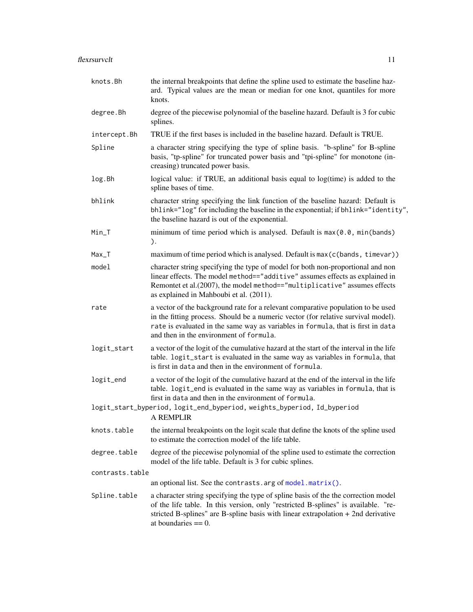<span id="page-10-0"></span>

| knots.Bh        | the internal breakpoints that define the spline used to estimate the baseline haz-<br>ard. Typical values are the mean or median for one knot, quantiles for more<br>knots.                                                                                                                          |
|-----------------|------------------------------------------------------------------------------------------------------------------------------------------------------------------------------------------------------------------------------------------------------------------------------------------------------|
| degree.Bh       | degree of the piecewise polynomial of the baseline hazard. Default is 3 for cubic<br>splines.                                                                                                                                                                                                        |
| intercept.Bh    | TRUE if the first bases is included in the baseline hazard. Default is TRUE.                                                                                                                                                                                                                         |
| Spline          | a character string specifying the type of spline basis. "b-spline" for B-spline<br>basis, "tp-spline" for truncated power basis and "tpi-spline" for monotone (in-<br>creasing) truncated power basis.                                                                                               |
| log.Bh          | logical value: if TRUE, an additional basis equal to log(time) is added to the<br>spline bases of time.                                                                                                                                                                                              |
| bhlink          | character string specifying the link function of the baseline hazard: Default is<br>bhlink="log" for including the baseline in the exponential; if bhlink="identity",<br>the baseline hazard is out of the exponential.                                                                              |
| Min_T           | minimum of time period which is analysed. Default is $max(0.0, min(bands))$<br>).                                                                                                                                                                                                                    |
| $Max_T$         | maximum of time period which is analysed. Default is max (c(bands, timevar))                                                                                                                                                                                                                         |
| model           | character string specifying the type of model for both non-proportional and non<br>linear effects. The model method=="additive" assumes effects as explained in<br>Remontet et al.(2007), the model method=="multiplicative" assumes effects<br>as explained in Mahboubi et al. (2011).              |
| rate            | a vector of the background rate for a relevant comparative population to be used<br>in the fitting process. Should be a numeric vector (for relative survival model).<br>rate is evaluated in the same way as variables in formula, that is first in data<br>and then in the environment of formula. |
| logit_start     | a vector of the logit of the cumulative hazard at the start of the interval in the life<br>table. logit_start is evaluated in the same way as variables in formula, that<br>is first in data and then in the environment of formula.                                                                 |
| logit_end       | a vector of the logit of the cumulative hazard at the end of the interval in the life<br>table. logit_end is evaluated in the same way as variables in formula, that is<br>first in data and then in the environment of formula.                                                                     |
|                 | logit_start_byperiod, logit_end_byperiod, weights_byperiod, Id_byperiod<br><b>A REMPLIR</b>                                                                                                                                                                                                          |
| knots.table     | the internal breakpoints on the logit scale that define the knots of the spline used<br>to estimate the correction model of the life table.                                                                                                                                                          |
| degree.table    | degree of the piecewise polynomial of the spline used to estimate the correction<br>model of the life table. Default is 3 for cubic splines.                                                                                                                                                         |
| contrasts.table |                                                                                                                                                                                                                                                                                                      |
|                 | an optional list. See the contrasts. arg of model. matrix().                                                                                                                                                                                                                                         |
| Spline.table    | a character string specifying the type of spline basis of the the correction model<br>of the life table. In this version, only "restricted B-splines" is available. "re-<br>stricted B-splines" are B-spline basis with linear extrapolation + 2nd derivative<br>at boundaries $== 0$ .              |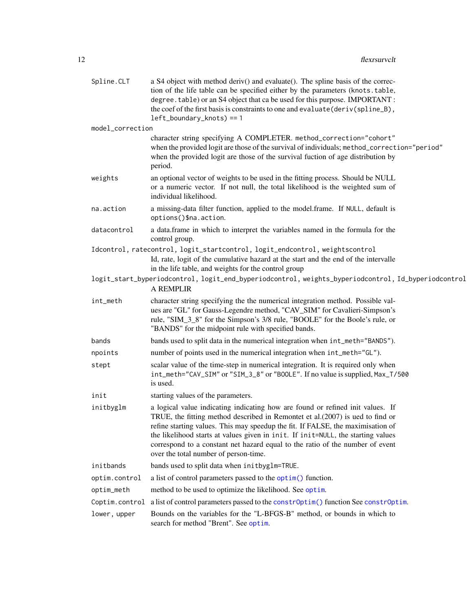<span id="page-11-0"></span>

| Spline.CLT       | a S4 object with method deriv() and evaluate(). The spline basis of the correc-<br>tion of the life table can be specified either by the parameters (knots.table,<br>degree. table) or an S4 object that ca be used for this purpose. IMPORTANT :<br>the coef of the first basis is constraints to one and evaluate (deriv(spline_B),<br>$left\_boundary\_knots$ ) == 1                                                                                             |
|------------------|---------------------------------------------------------------------------------------------------------------------------------------------------------------------------------------------------------------------------------------------------------------------------------------------------------------------------------------------------------------------------------------------------------------------------------------------------------------------|
| model_correction |                                                                                                                                                                                                                                                                                                                                                                                                                                                                     |
|                  | character string specifying A COMPLETER. method_correction="cohort"<br>when the provided logit are those of the survival of individuals; method_correction="period"<br>when the provided logit are those of the survival fuction of age distribution by<br>period.                                                                                                                                                                                                  |
| weights          | an optional vector of weights to be used in the fitting process. Should be NULL<br>or a numeric vector. If not null, the total likelihood is the weighted sum of<br>individual likelihood.                                                                                                                                                                                                                                                                          |
| na.action        | a missing-data filter function, applied to the model.frame. If NULL, default is<br>options()\$na.action.                                                                                                                                                                                                                                                                                                                                                            |
| datacontrol      | a data.frame in which to interpret the variables named in the formula for the<br>control group.                                                                                                                                                                                                                                                                                                                                                                     |
|                  | Idcontrol, ratecontrol, logit_startcontrol, logit_endcontrol, weightscontrol<br>Id, rate, logit of the cumulative hazard at the start and the end of the intervalle<br>in the life table, and weights for the control group                                                                                                                                                                                                                                         |
|                  | logit_start_byperiodcontrol, logit_end_byperiodcontrol, weights_byperiodcontrol, Id_byperiodcontrol<br>A REMPLIR                                                                                                                                                                                                                                                                                                                                                    |
| int_meth         | character string specifying the the numerical integration method. Possible val-<br>ues are "GL" for Gauss-Legendre method, "CAV_SIM" for Cavalieri-Simpson's<br>rule, "SIM_3_8" for the Simpson's 3/8 rule, "BOOLE" for the Boole's rule, or<br>"BANDS" for the midpoint rule with specified bands.                                                                                                                                                                 |
| bands            | bands used to split data in the numerical integration when $int_meth="BANDS'$ ).                                                                                                                                                                                                                                                                                                                                                                                    |
| npoints          | number of points used in the numerical integration when $int_meth="GL"$ ).                                                                                                                                                                                                                                                                                                                                                                                          |
| stept            | scalar value of the time-step in numerical integration. It is required only when<br>int_meth="CAV_SIM" or "SIM_3_8" or "BOOLE". If no value is supplied, Max_T/500<br>is used.                                                                                                                                                                                                                                                                                      |
| init             | starting values of the parameters.                                                                                                                                                                                                                                                                                                                                                                                                                                  |
| initbyglm        | a logical value indicating indicating how are found or refined init values. If<br>TRUE, the fitting method described in Remontet et al. $(2007)$ is ued to find or<br>refine starting values. This may speedup the fit. If FALSE, the maximisation of<br>the likelihood starts at values given in init. If init=NULL, the starting values<br>correspond to a constant net hazard equal to the ratio of the number of event<br>over the total number of person-time. |
| initbands        | bands used to split data when initbyglm=TRUE.                                                                                                                                                                                                                                                                                                                                                                                                                       |
| optim.control    | a list of control parameters passed to the optim() function.                                                                                                                                                                                                                                                                                                                                                                                                        |
| optim_meth       | method to be used to optimize the likelihood. See optim.                                                                                                                                                                                                                                                                                                                                                                                                            |
| Coptim.control   | a list of control parameters passed to the constrOptim() function See constrOptim.                                                                                                                                                                                                                                                                                                                                                                                  |
| lower, upper     | Bounds on the variables for the "L-BFGS-B" method, or bounds in which to<br>search for method "Brent". See optim.                                                                                                                                                                                                                                                                                                                                                   |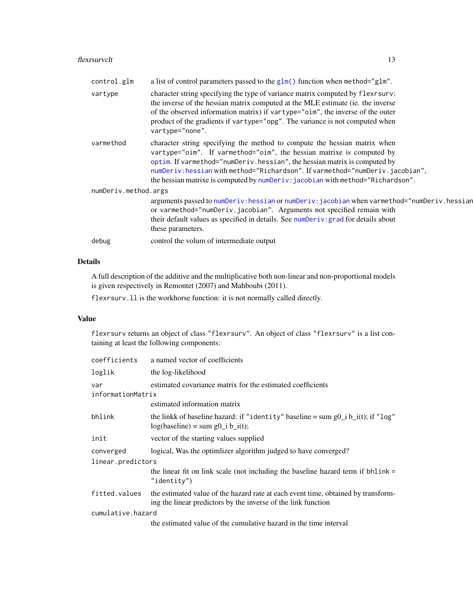#### <span id="page-12-0"></span>flexrsurvclt 13

| control.glm          | a list of control parameters passed to the $glm()$ function when method=" $glm"$ .                                                                                                                                                                                                                                                                                                                                            |
|----------------------|-------------------------------------------------------------------------------------------------------------------------------------------------------------------------------------------------------------------------------------------------------------------------------------------------------------------------------------------------------------------------------------------------------------------------------|
| vartype              | character string specifying the type of variance matrix computed by flexes character string specifying the type of variance matrix computed by flexes<br>the inverse of the hessian matrix computed at the MLE estimate (ie. the inverse<br>of the observed information matrix) if vartype="oim", the inverse of the outer<br>product of the gradients if vartype="opg". The variance is not computed when<br>vartype="none". |
| varmethod            | character string specifying the method to compute the hessian matrix when<br>vartype="oim". If varmethod="oim", the hessian matrixe is computed by<br>optim. If varmethod="numDeriv.hessian", the hessian matrix is computed by<br>numDeriv: hessian with method="Richardson". If varmethod="numDeriv.jacobian",<br>the hessian matrixe is computed by numDeriv: jacobian with method="Richardson".                           |
| numDeriv.method.args |                                                                                                                                                                                                                                                                                                                                                                                                                               |
|                      | arguments passed to numDeriv: hessian or numDeriv: jacobian when varmethod="numDeriv. hessian<br>or varmethod="numDeriv.jacobian". Arguments not specified remain with<br>their default values as specified in details. See numDeriv: grad for details about<br>these parameters.                                                                                                                                             |
| debug                | control the volum of intermediate output                                                                                                                                                                                                                                                                                                                                                                                      |

# Details

A full description of the additive and the multiplicative both non-linear and non-proportional models is given respectively in Remontet (2007) and Mahboubi (2011).

flexrsurv.ll is the workhorse function: it is not normally called directly.

# Value

flexrsurv returns an object of class "flexrsurv". An object of class "flexrsurv" is a list containing at least the following components:

| coefficients             | a named vector of coefficients                                                                                                                     |
|--------------------------|----------------------------------------------------------------------------------------------------------------------------------------------------|
| loglik                   | the log-likelihood                                                                                                                                 |
| var<br>informationMatrix | estimated covariance matrix for the estimated coefficients                                                                                         |
|                          | estimated information matrix                                                                                                                       |
| bhlink                   | the linkk of baseline hazard: if "identity" baseline = sum $g0$ i b i(t); if "log"<br>$log(baseline) = sum g0_i b_i(t);$                           |
| init                     | vector of the starting values supplied                                                                                                             |
| converged                | logical, Was the optimizer algorithm judged to have converged?                                                                                     |
| linear.predictors        |                                                                                                                                                    |
|                          | the linear fit on link scale (not including the baseline hazard term if bhlink =<br>" $identity"$ )                                                |
| fitted.values            | the estimated value of the hazard rate at each event time, obtained by transform-<br>ing the linear predictors by the inverse of the link function |
| cumulative.hazard        |                                                                                                                                                    |
|                          | the estimated value of the cumulative hazard in the time interval                                                                                  |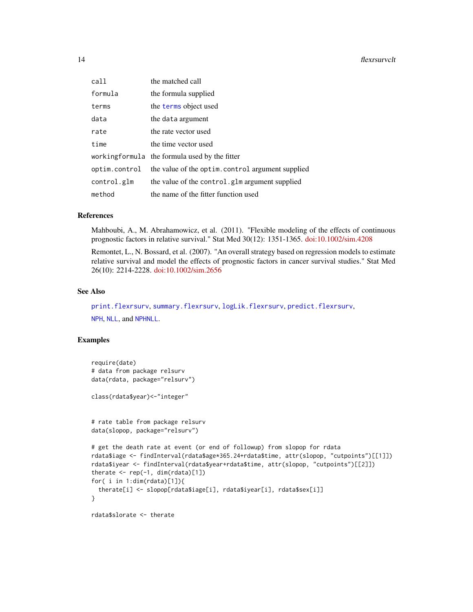<span id="page-13-0"></span>

| call          | the matched call                                 |
|---------------|--------------------------------------------------|
| formula       | the formula supplied                             |
| terms         | the terms object used                            |
| data          | the data argument                                |
| rate          | the rate vector used                             |
| time          | the time vector used                             |
|               | workingformula the formula used by the fitter    |
| optim.control | the value of the optim.control argument supplied |
| control.glm   | the value of the control.glm argument supplied   |
| method        | the name of the fitter function used             |

#### References

Mahboubi, A., M. Abrahamowicz, et al. (2011). "Flexible modeling of the effects of continuous prognostic factors in relative survival." Stat Med 30(12): 1351-1365. [doi:10.1002/sim.4208](https://doi.org/10.1002/sim.4208)

Remontet, L., N. Bossard, et al. (2007). "An overall strategy based on regression models to estimate relative survival and model the effects of prognostic factors in cancer survival studies." Stat Med 26(10): 2214-2228. [doi:10.1002/sim.2656](https://doi.org/10.1002/sim.2656)

#### See Also

[print.flexrsurv](#page-28-1), [summary.flexrsurv](#page-29-1), [logLik.flexrsurv](#page-21-1), [predict.flexrsurv](#page-25-1), [NPH](#page-23-1), [NLL](#page-22-1), and [NPHNLL](#page-24-1).

#### Examples

```
require(date)
# data from package relsurv
data(rdata, package="relsurv")
class(rdata$year)<-"integer"
# rate table from package relsurv
data(slopop, package="relsurv")
# get the death rate at event (or end of followup) from slopop for rdata
rdata$iage <- findInterval(rdata$age*365.24+rdata$time, attr(slopop, "cutpoints")[[1]])
rdata$iyear <- findInterval(rdata$year+rdata$time, attr(slopop, "cutpoints")[[2]])
therate \leq rep(-1, dim(rdata)[1])
for( i in 1:dim(rdata)[1]){
 therate[i] <- slopop[rdata$iage[i], rdata$iyear[i], rdata$sex[i]]
}
rdata$slorate <- therate
```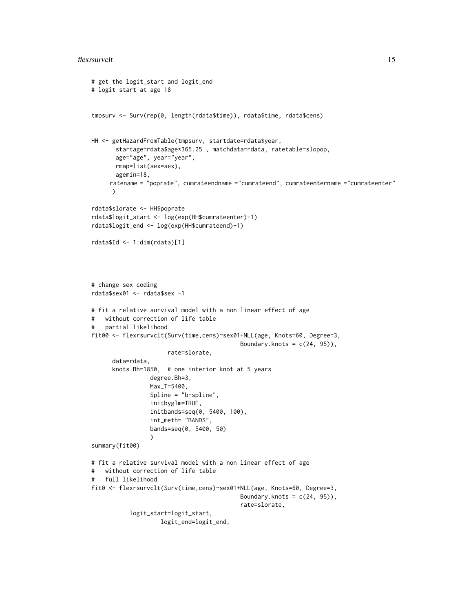#### flexrsurvclt 15

```
# get the logit_start and logit_end
# logit start at age 18
tmpsurv <- Surv(rep(0, length(rdata$time)), rdata$time, rdata$cens)
HH <- getHazardFromTable(tmpsurv, startdate=rdata$year,
       startage=rdata$age*365.25 , matchdata=rdata, ratetable=slopop,
       age="age", year="year",
       rmap=list(sex=sex),
       agemin=18,
     ratename = "poprate", cumrateendname ="cumrateend", cumrateentername ="cumrateenter"
      )
rdata$slorate <- HH$poprate
rdata$logit_start <- log(exp(HH$cumrateenter)-1)
rdata$logit_end <- log(exp(HH$cumrateend)-1)
rdata$Id <- 1:dim(rdata)[1]
# change sex coding
rdata$sex01 <- rdata$sex -1
# fit a relative survival model with a non linear effect of age
# without correction of life table
# partial likelihood
fit00 <- flexrsurvclt(Surv(time,cens)~sex01+NLL(age, Knots=60, Degree=3,
                                           Boundary.knots = c(24, 95),
                      rate=slorate,
      data=rdata,
      knots.Bh=1850, # one interior knot at 5 years
                 degree.Bh=3,
                 Max_T=5400,
                 Spline = "b-spline",
                 initbyglm=TRUE,
                 initbands=seq(0, 5400, 100),
                 int_meth= "BANDS",
                 bands=seq(0, 5400, 50)
                 )
summary(fit00)
# fit a relative survival model with a non linear effect of age
# without correction of life table
# full likelihood
fit0 <- flexrsurvclt(Surv(time,cens)~sex01+NLL(age, Knots=60, Degree=3,
                                           Boundary.knots = c(24, 95),
                                           rate=slorate,
           logit_start=logit_start,
                    logit_end=logit_end,
```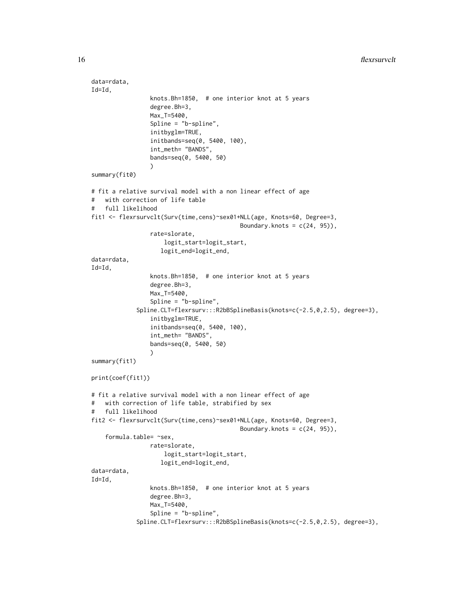```
data=rdata,
Id=Id,
                 knots.Bh=1850, # one interior knot at 5 years
                 degree.Bh=3,
                 Max_T=5400,
                 Spline = "b-spline",
                 initbyglm=TRUE,
                 initbands=seq(0, 5400, 100),
                 int_meth= "BANDS",
                 bands=seq(0, 5400, 50)
                 )
summary(fit0)
# fit a relative survival model with a non linear effect of age
# with correction of life table
# full likelihood
fit1 <- flexrsurvclt(Surv(time,cens)~sex01+NLL(age, Knots=60, Degree=3,
                                           Boundary.knots = c(24, 95),
                 rate=slorate,
                     logit_start=logit_start,
                    logit_end=logit_end,
data=rdata,
Id=Id,
                 knots.Bh=1850, # one interior knot at 5 years
                 degree.Bh=3,
                 Max_T=5400,
                 Spline = "b-spline",
             Spline.CLT=flexrsurv:::R2bBSplineBasis(knots=c(-2.5,0,2.5), degree=3),
                 initbyglm=TRUE,
                 initbands=seq(0, 5400, 100),
                 int_meth= "BANDS",
                 bands=seq(0, 5400, 50)
                 )
summary(fit1)
print(coef(fit1))
# fit a relative survival model with a non linear effect of age
# with correction of life table, strabified by sex
# full likelihood
fit2 <- flexrsurvclt(Surv(time,cens)~sex01+NLL(age, Knots=60, Degree=3,
                                           Boundary.knots = c(24, 95),
    formula.table= ~sex,
                 rate=slorate,
                    logit_start=logit_start,
                    logit_end=logit_end,
data=rdata,
Id=Id,
                 knots.Bh=1850, # one interior knot at 5 years
                 degree.Bh=3,
                 Max_T=5400,
                 Spline = "b-spline",
             Spline.CLT=flexrsurv:::R2bBSplineBasis(knots=c(-2.5,0,2.5), degree=3),
```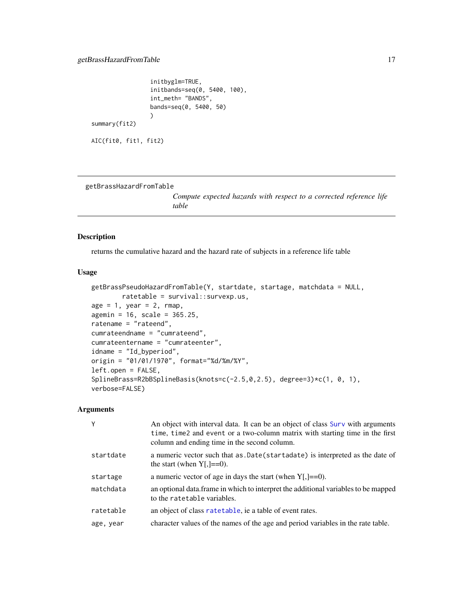```
initbyglm=TRUE,
                 initbands=seq(0, 5400, 100),
                 int_meth= "BANDS",
                 bands=seq(0, 5400, 50)
                 )
summary(fit2)
```

```
AIC(fit0, fit1, fit2)
```
<span id="page-16-1"></span>getBrassHazardFromTable

*Compute expected hazards with respect to a corrected reference life table*

#### Description

returns the cumulative hazard and the hazard rate of subjects in a reference life table

# Usage

```
getBrassPseudoHazardFromTable(Y, startdate, startage, matchdata = NULL,
        ratetable = survival::survexp.us,
age = 1, year = 2, rmap,
agemin = 16, scale = 365.25,
ratename = "rateend",
cumrateendname = "cumrateend",
cumrateentername = "cumrateenter",
idname = "Id_byperiod",
origin = "01/01/1970", format="%d/%m/%Y",
left.open = FALSE,
SplineBrass=R2bBSplineBasis(knots=c(-2.5,0,2.5), degree=3)*c(1, 0, 1),
verbose=FALSE)
```
#### Arguments

|           | An object with interval data. It can be an object of class Surv with arguments<br>time, time 2 and event or a two-column matrix with starting time in the first<br>column and ending time in the second column. |
|-----------|-----------------------------------------------------------------------------------------------------------------------------------------------------------------------------------------------------------------|
| startdate | a numeric vector such that as . Date (startadate) is interpreted as the date of<br>the start (when $Y$ [, $]==0$ ).                                                                                             |
| startage  | a numeric vector of age in days the start (when $Y$ [,]==0).                                                                                                                                                    |
| matchdata | an optional data. frame in which to interpret the additional variables to be mapped<br>to the rate table variables.                                                                                             |
| ratetable | an object of class rate table, ie a table of event rates.                                                                                                                                                       |
| age, year | character values of the names of the age and period variables in the rate table.                                                                                                                                |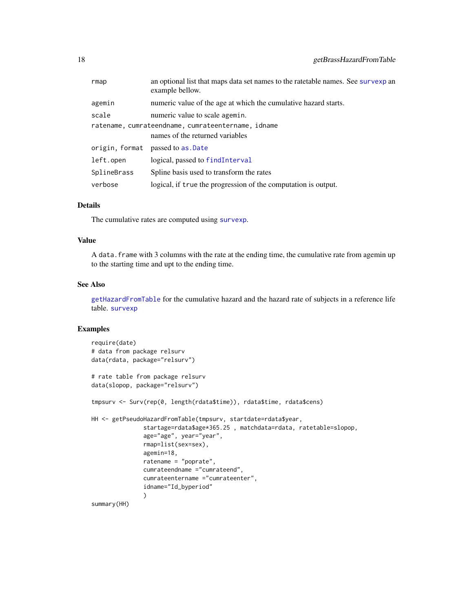<span id="page-17-0"></span>

| rmap                                               | an optional list that maps data set names to the rate table names. See survexp an<br>example bellow. |  |
|----------------------------------------------------|------------------------------------------------------------------------------------------------------|--|
| agemin                                             | numeric value of the age at which the cumulative hazard starts.                                      |  |
| scale                                              | numeric value to scale agemin.                                                                       |  |
| ratename, cumrateendname, cumrateentername, idname |                                                                                                      |  |
|                                                    | names of the returned variables                                                                      |  |
|                                                    | origin, format passed to as. Date                                                                    |  |
| left.open                                          | logical, passed to findInterval                                                                      |  |
| SplineBrass                                        | Spline basis used to transform the rates                                                             |  |
| verbose                                            | logical, if true the progression of the computation is output.                                       |  |

#### Details

The cumulative rates are computed using [survexp](#page-0-0).

#### Value

A data.frame with 3 columns with the rate at the ending time, the cumulative rate from agemin up to the starting time and upt to the ending time.

### See Also

[getHazardFromTable](#page-18-1) for the cumulative hazard and the hazard rate of subjects in a reference life table. [survexp](#page-0-0)

# Examples

```
require(date)
# data from package relsurv
data(rdata, package="relsurv")
# rate table from package relsurv
data(slopop, package="relsurv")
tmpsurv <- Surv(rep(0, length(rdata$time)), rdata$time, rdata$cens)
HH <- getPseudoHazardFromTable(tmpsurv, startdate=rdata$year,
               startage=rdata$age*365.25 , matchdata=rdata, ratetable=slopop,
               age="age", year="year",
               rmap=list(sex=sex),
               agemin=18,
               ratename = "poprate",
               cumrateendname ="cumrateend",
               cumrateentername ="cumrateenter",
               idname="Id_byperiod"
               )
summary(HH)
```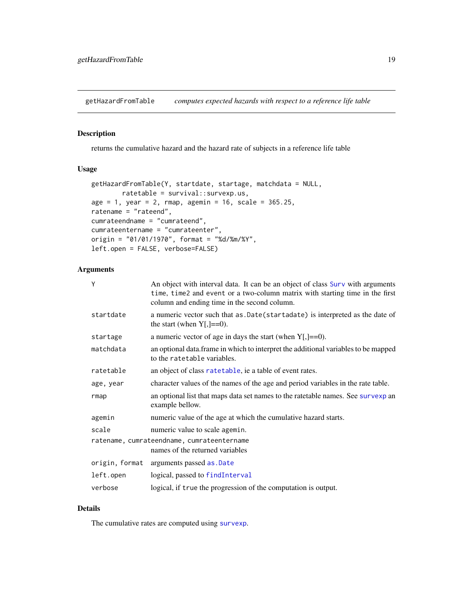<span id="page-18-1"></span><span id="page-18-0"></span>getHazardFromTable *computes expected hazards with respect to a reference life table*

#### Description

returns the cumulative hazard and the hazard rate of subjects in a reference life table

#### Usage

```
getHazardFromTable(Y, startdate, startage, matchdata = NULL,
        ratetable = survival::survexp.us,
age = 1, year = 2, rmap, agemin = 16, scale = 365.25,
ratename = "rateend",
cumrateendname = "cumrateend",
cumrateentername = "cumrateenter",
origin = "01/01/1970", format = "%d/%m/%Y",
left.open = FALSE, verbose=FALSE)
```
# Arguments

| Y                                                                             | An object with interval data. It can be an object of class Surv with arguments<br>time, time2 and event or a two-column matrix with starting time in the first<br>column and ending time in the second column. |
|-------------------------------------------------------------------------------|----------------------------------------------------------------------------------------------------------------------------------------------------------------------------------------------------------------|
| startdate                                                                     | a numeric vector such that as . Date (startadate) is interpreted as the date of<br>the start (when $Y$ [,]==0).                                                                                                |
| startage                                                                      | a numeric vector of age in days the start (when $Y$ [,]==0).                                                                                                                                                   |
| matchdata                                                                     | an optional data. frame in which to interpret the additional variables to be mapped<br>to the ratetable variables.                                                                                             |
| ratetable                                                                     | an object of class rate table, ie a table of event rates.                                                                                                                                                      |
| age, year                                                                     | character values of the names of the age and period variables in the rate table.                                                                                                                               |
| rmap                                                                          | an optional list that maps data set names to the rate table names. See survexp an<br>example bellow.                                                                                                           |
| agemin                                                                        | numeric value of the age at which the cumulative hazard starts.                                                                                                                                                |
| scale                                                                         | numeric value to scale agemin.                                                                                                                                                                                 |
| ratename, cumrateendname, cumrateentername<br>names of the returned variables |                                                                                                                                                                                                                |
| origin, format                                                                | arguments passed as . Date                                                                                                                                                                                     |
| left.open                                                                     | logical, passed to findInterval                                                                                                                                                                                |
| verbose                                                                       | logical, if true the progression of the computation is output.                                                                                                                                                 |

# Details

The cumulative rates are computed using [survexp](#page-0-0).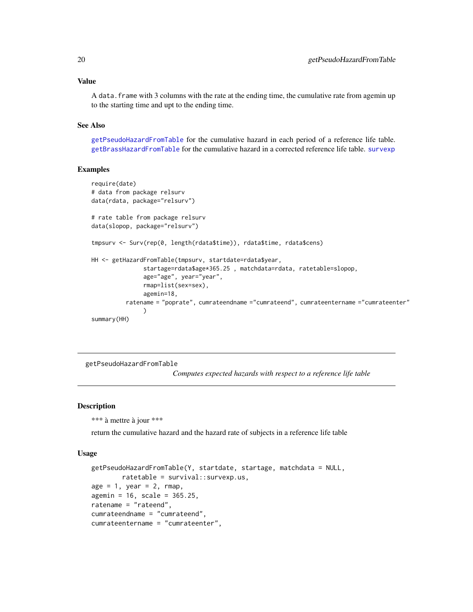#### <span id="page-19-0"></span>Value

A data. frame with 3 columns with the rate at the ending time, the cumulative rate from agemin up to the starting time and upt to the ending time.

#### See Also

[getPseudoHazardFromTable](#page-19-1) for the cumulative hazard in each period of a reference life table. [getBrassHazardFromTable](#page-16-1) for the cumulative hazard in a corrected reference life table. [survexp](#page-0-0)

### Examples

```
require(date)
# data from package relsurv
data(rdata, package="relsurv")
# rate table from package relsurv
data(slopop, package="relsurv")
tmpsurv <- Surv(rep(0, length(rdata$time)), rdata$time, rdata$cens)
HH <- getHazardFromTable(tmpsurv, startdate=rdata$year,
               startage=rdata$age*365.25 , matchdata=rdata, ratetable=slopop,
               age="age", year="year",
               rmap=list(sex=sex),
               agemin=18,
          ratename = "poprate", cumrateendname ="cumrateend", cumrateentername ="cumrateenter"
               \lambdasummary(HH)
```
<span id="page-19-1"></span>getPseudoHazardFromTable

*Computes expected hazards with respect to a reference life table*

#### Description

\*\*\* à mettre à jour \*\*\*

return the cumulative hazard and the hazard rate of subjects in a reference life table

#### Usage

```
getPseudoHazardFromTable(Y, startdate, startage, matchdata = NULL,
        ratetable = survival::survexp.us,
age = 1, year = 2, rmap,
agemin = 16, scale = 365.25,
ratename = "rateend",
cumrateendname = "cumrateend",
cumrateentername = "cumrateenter",
```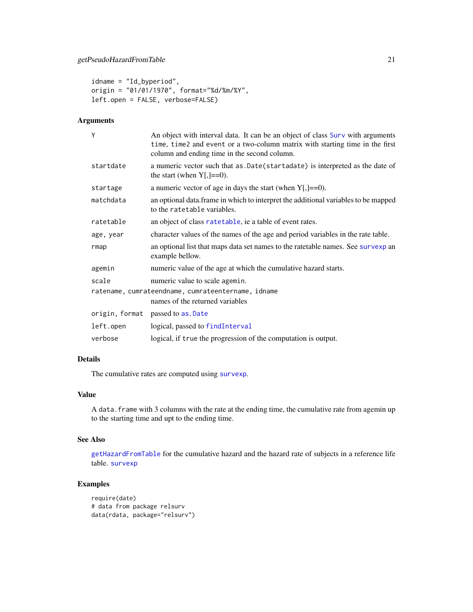```
idname = "Id_byperiod",
origin = "01/01/1970", format="%d/%m/%Y",
left.open = FALSE, verbose=FALSE)
```
# Arguments

| Y                                                                                                                                | An object with interval data. It can be an object of class Surv with arguments<br>time, time2 and event or a two-column matrix with starting time in the first<br>column and ending time in the second column. |
|----------------------------------------------------------------------------------------------------------------------------------|----------------------------------------------------------------------------------------------------------------------------------------------------------------------------------------------------------------|
| startdate                                                                                                                        | a numeric vector such that as . Date (startadate) is interpreted as the date of<br>the start (when $Y$ [, ]==0).                                                                                               |
| startage                                                                                                                         | a numeric vector of age in days the start (when $Y$ [,]==0).                                                                                                                                                   |
| matchdata                                                                                                                        | an optional data. frame in which to interpret the additional variables to be mapped<br>to the ratetable variables.                                                                                             |
| ratetable                                                                                                                        | an object of class rate table, ie a table of event rates.                                                                                                                                                      |
| age, year                                                                                                                        | character values of the names of the age and period variables in the rate table.                                                                                                                               |
| rmap                                                                                                                             | an optional list that maps data set names to the ratetable names. See survexp an<br>example bellow.                                                                                                            |
| agemin                                                                                                                           | numeric value of the age at which the cumulative hazard starts.                                                                                                                                                |
| scale<br>numeric value to scale agemin.<br>ratename, cumrateendname, cumrateentername, idname<br>names of the returned variables |                                                                                                                                                                                                                |
|                                                                                                                                  | origin, format passed to as. Date                                                                                                                                                                              |
| left.open                                                                                                                        | logical, passed to findInterval                                                                                                                                                                                |
| verbose                                                                                                                          | logical, if true the progression of the computation is output.                                                                                                                                                 |

# Details

The cumulative rates are computed using [survexp](#page-0-0).

#### Value

A data.frame with 3 columns with the rate at the ending time, the cumulative rate from agemin up to the starting time and upt to the ending time.

# See Also

[getHazardFromTable](#page-18-1) for the cumulative hazard and the hazard rate of subjects in a reference life table. [survexp](#page-0-0)

# Examples

```
require(date)
# data from package relsurv
data(rdata, package="relsurv")
```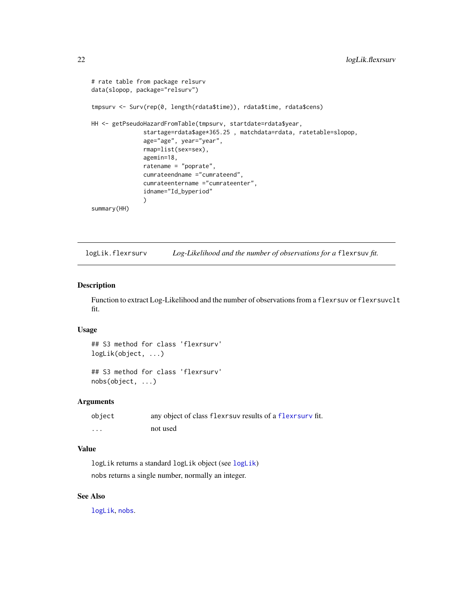```
# rate table from package relsurv
data(slopop, package="relsurv")
tmpsurv <- Surv(rep(0, length(rdata$time)), rdata$time, rdata$cens)
HH <- getPseudoHazardFromTable(tmpsurv, startdate=rdata$year,
               startage=rdata$age*365.25 , matchdata=rdata, ratetable=slopop,
               age="age", year="year",
               rmap=list(sex=sex),
               agemin=18,
               ratename = "poprate",
               cumrateendname ="cumrateend",
               cumrateentername ="cumrateenter",
               idname="Id_byperiod"
               )
summary(HH)
```
<span id="page-21-1"></span>logLik.flexrsurv *Log-Likelihood and the number of observations for a* flexrsuv *fit.*

# Description

Function to extract Log-Likelihood and the number of observations from a flexrsuv or flexrsuvclt fit.

#### Usage

## S3 method for class 'flexrsurv' logLik(object, ...)

## S3 method for class 'flexrsurv' nobs(object, ...)

#### Arguments

| object | any object of class flexes are results of a flexes and fit. |
|--------|-------------------------------------------------------------|
| .      | not used                                                    |

#### Value

logLik returns a standard logLik object (see [logLik](#page-0-0)) nobs returns a single number, normally an integer.

#### See Also

[logLik](#page-0-0), [nobs](#page-0-0).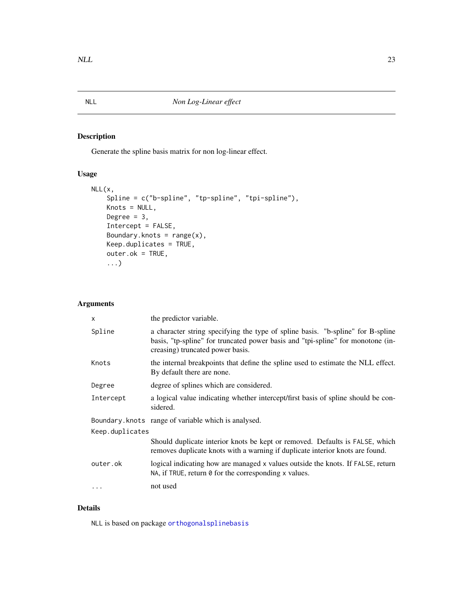<span id="page-22-1"></span><span id="page-22-0"></span>

# Description

Generate the spline basis matrix for non log-linear effect.

# Usage

```
NLL(x,
   Spline = c("b-spline", "tp-spline", "tpi-spline"),
    Knots = NULL,
   Degree = 3,
    Intercept = FALSE,
   Boundary.knots = range(x),
   Keep.duplicates = TRUE,
    outer.ok = TRUE,
    ...)
```
# Arguments

| X               | the predictor variable.                                                                                                                                                                                |  |
|-----------------|--------------------------------------------------------------------------------------------------------------------------------------------------------------------------------------------------------|--|
| Spline          | a character string specifying the type of spline basis. "b-spline" for B-spline<br>basis, "tp-spline" for truncated power basis and "tpi-spline" for monotone (in-<br>creasing) truncated power basis. |  |
| Knots           | the internal breakpoints that define the spline used to estimate the NLL effect.<br>By default there are none.                                                                                         |  |
| Degree          | degree of splines which are considered.                                                                                                                                                                |  |
| Intercept       | a logical value indicating whether intercept/first basis of spline should be con-<br>sidered.                                                                                                          |  |
|                 | Boundary. knots range of variable which is analysed.                                                                                                                                                   |  |
| Keep.duplicates |                                                                                                                                                                                                        |  |
|                 | Should duplicate interior knots be kept or removed. Defaults is FALSE, which<br>removes duplicate knots with a warning if duplicate interior knots are found.                                          |  |
| outer.ok        | logical indicating how are managed x values outside the knots. If FALSE, return<br>NA, if TRUE, return $\theta$ for the corresponding x values.                                                        |  |
| $\ddotsc$       | not used                                                                                                                                                                                               |  |

# Details

NLL is based on package [orthogonalsplinebasis](#page-0-0)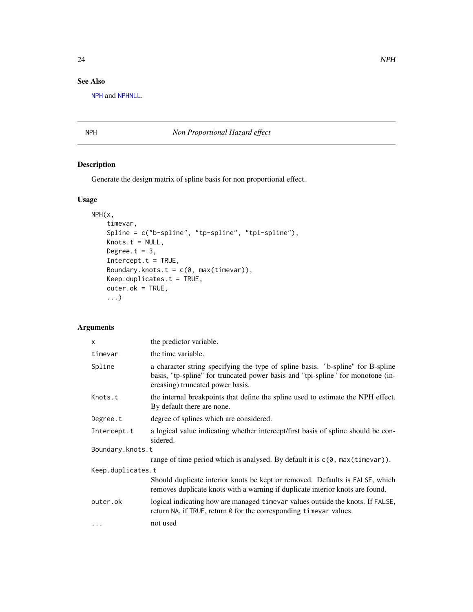# <span id="page-23-0"></span>See Also

[NPH](#page-23-1) and [NPHNLL](#page-24-1).

<span id="page-23-1"></span>NPH *Non Proportional Hazard effect*

# Description

Generate the design matrix of spline basis for non proportional effect.

# Usage

```
NPH(x,
    timevar,
    Spline = c("b-spline", "tp-spline", "tpi-spline"),
   Knots.t = NULL,
   Degree.t = 3,
    Intercept.t = TRUE,
   Boundary.knots.t = c(\emptyset, max(timevar)),Keep.duplicates.t = TRUE,
    outer.ok = TRUE,...)
```
# Arguments

| x                 | the predictor variable.                                                                                                                                                                                |  |
|-------------------|--------------------------------------------------------------------------------------------------------------------------------------------------------------------------------------------------------|--|
| timevar           | the time variable.                                                                                                                                                                                     |  |
| Spline            | a character string specifying the type of spline basis. "b-spline" for B-spline<br>basis, "tp-spline" for truncated power basis and "tpi-spline" for monotone (in-<br>creasing) truncated power basis. |  |
| Knots.t           | the internal breakpoints that define the spline used to estimate the NPH effect.<br>By default there are none.                                                                                         |  |
| Degree.t          | degree of splines which are considered.                                                                                                                                                                |  |
| Intercept.t       | a logical value indicating whether intercept/first basis of spline should be con-<br>sidered.                                                                                                          |  |
| Boundary.knots.t  |                                                                                                                                                                                                        |  |
|                   | range of time period which is analysed. By default it is $c(0, \text{max}(\text{timeout}))$ .                                                                                                          |  |
| Keep.duplicates.t |                                                                                                                                                                                                        |  |
|                   | Should duplicate interior knots be kept or removed. Defaults is FALSE, which<br>removes duplicate knots with a warning if duplicate interior knots are found.                                          |  |
| outer.ok          | logical indicating how are managed time are valued outside the knots. If FALSE,<br>return NA, if TRUE, return 0 for the corresponding timevar values.                                                  |  |
| $\cdots$          | not used                                                                                                                                                                                               |  |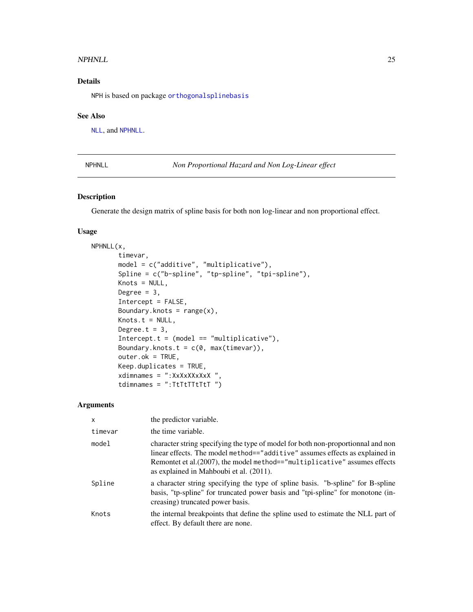#### <span id="page-24-0"></span>NPHNLL 25

# Details

NPH is based on package [orthogonalsplinebasis](#page-0-0)

#### See Also

[NLL](#page-22-1), and [NPHNLL](#page-24-1).

<span id="page-24-1"></span>NPHNLL *Non Proportional Hazard and Non Log-Linear effect*

#### Description

Generate the design matrix of spline basis for both non log-linear and non proportional effect.

### Usage

```
NPHNLL(x,
       timevar,
       model = c("additive", "multiplicative"),
       Spline = c("b-spline", "tp-spline", "tpi-spline"),
       Knots = NULL,
       Degree = 3,
       Intercept = FALSE,
       Boundary.knots = range(x),
       Knots.t = NULL,Degree.t = 3,
       Intercept.t = (model == "multiplier"),Boundary.knots.t = c(\theta, \text{max}(\text{timer})),outer.ok = TRUE,
       Keep.duplicates = TRUE,
       xdimnames = ":XxXxXXxXxX ",
       tdimnames = "TtTtTTtTT')
```
#### Arguments

| $\mathsf{x}$ | the predictor variable.                                                                                                                                                                                                                                                                   |
|--------------|-------------------------------------------------------------------------------------------------------------------------------------------------------------------------------------------------------------------------------------------------------------------------------------------|
| timevar      | the time variable.                                                                                                                                                                                                                                                                        |
| model        | character string specifying the type of model for both non-proportionnal and non<br>linear effects. The model method=="additive" assumes effects as explained in<br>Remontet et al. (2007), the model method=="multiplicative" assumes effects<br>as explained in Mahboubi et al. (2011). |
| Spline       | a character string specifying the type of spline basis. "b-spline" for B-spline<br>basis, "tp-spline" for truncated power basis and "tpi-spline" for monotone (in-<br>creasing) truncated power basis.                                                                                    |
| Knots        | the internal breakpoints that define the spline used to estimate the NLL part of<br>effect. By default there are none.                                                                                                                                                                    |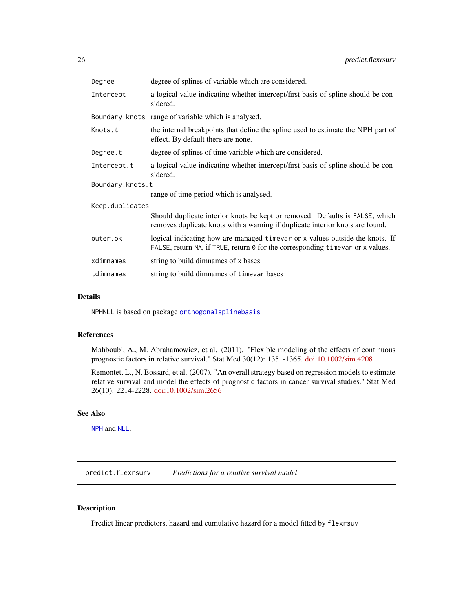<span id="page-25-0"></span>

| Degree           | degree of splines of variable which are considered.                                                                                                            |  |
|------------------|----------------------------------------------------------------------------------------------------------------------------------------------------------------|--|
| Intercept        | a logical value indicating whether intercept/first basis of spline should be con-<br>sidered.                                                                  |  |
|                  | Boundary.knots range of variable which is analysed.                                                                                                            |  |
| Knots.t          | the internal breakpoints that define the spline used to estimate the NPH part of<br>effect. By default there are none.                                         |  |
| Degree.t         | degree of splines of time variable which are considered.                                                                                                       |  |
| Intercept.t      | a logical value indicating whether intercept/first basis of spline should be con-<br>sidered.                                                                  |  |
| Boundary.knots.t |                                                                                                                                                                |  |
|                  | range of time period which is analysed.                                                                                                                        |  |
| Keep.duplicates  |                                                                                                                                                                |  |
|                  | Should duplicate interior knots be kept or removed. Defaults is FALSE, which<br>removes duplicate knots with a warning if duplicate interior knots are found.  |  |
| outer.ok         | logical indicating how are managed timevar or x values outside the knots. If<br>FALSE, return NA, if TRUE, return 0 for the corresponding timevar or x values. |  |
| xdimnames        | string to build dimnames of x bases                                                                                                                            |  |
| tdimnames        | string to build dimnames of timevar bases                                                                                                                      |  |

#### Details

NPHNLL is based on package [orthogonalsplinebasis](#page-0-0)

#### References

Mahboubi, A., M. Abrahamowicz, et al. (2011). "Flexible modeling of the effects of continuous prognostic factors in relative survival." Stat Med 30(12): 1351-1365. [doi:10.1002/sim.4208](https://doi.org/10.1002/sim.4208)

Remontet, L., N. Bossard, et al. (2007). "An overall strategy based on regression models to estimate relative survival and model the effects of prognostic factors in cancer survival studies." Stat Med 26(10): 2214-2228. [doi:10.1002/sim.2656](https://doi.org/10.1002/sim.2656)

# See Also

[NPH](#page-23-1) and [NLL](#page-22-1).

<span id="page-25-1"></span>predict.flexrsurv *Predictions for a relative survival model*

# Description

Predict linear predictors, hazard and cumulative hazard for a model fitted by flexrsuv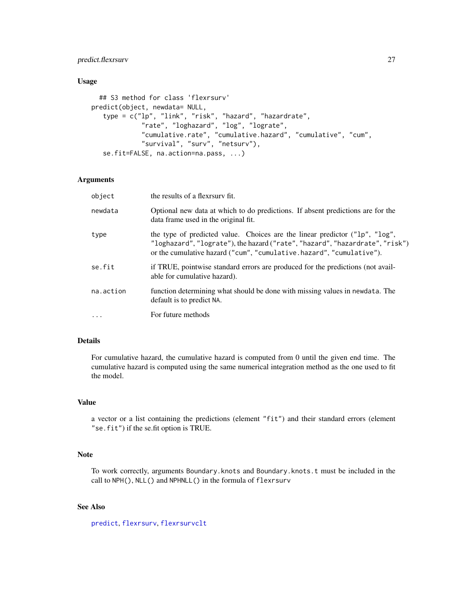# <span id="page-26-0"></span>predict.flexrsurv 27

# Usage

```
## S3 method for class 'flexrsurv'
predict(object, newdata= NULL,
   type = c("lp", "link", "risk", "hazard", "hazardrate",
             "rate", "loghazard", "log", "lograte",
             "cumulative.rate", "cumulative.hazard", "cumulative", "cum",
             "survival", "surv", "netsurv"),
   se.fit=FALSE, na.action=na.pass, ...)
```
#### Arguments

| object    | the results of a flexrsury fit.                                                                                                                                                                                                     |
|-----------|-------------------------------------------------------------------------------------------------------------------------------------------------------------------------------------------------------------------------------------|
| newdata   | Optional new data at which to do predictions. If absent predictions are for the<br>data frame used in the original fit.                                                                                                             |
| type      | the type of predicted value. Choices are the linear predictor ("1p", "1og",<br>"loghazard", "lograte"), the hazard ("rate", "hazard", "hazardrate", "risk")<br>or the cumulative hazard ("cum", "cumulative.hazard", "cumulative"). |
| se.fit    | if TRUE, pointwise standard errors are produced for the predictions (not avail-<br>able for cumulative hazard).                                                                                                                     |
| na.action | function determining what should be done with missing values in newdata. The<br>default is to predict NA.                                                                                                                           |
| $\ddots$  | For future methods                                                                                                                                                                                                                  |

### Details

For cumulative hazard, the cumulative hazard is computed from 0 until the given end time. The cumulative hazard is computed using the same numerical integration method as the one used to fit the model.

#### Value

a vector or a list containing the predictions (element "fit") and their standard errors (element "se.fit") if the se.fit option is TRUE.

#### Note

To work correctly, arguments Boundary.knots and Boundary.knots.t must be included in the call to NPH(), NLL() and NPHNLL() in the formula of flexrsurv

# See Also

[predict](#page-0-0), [flexrsurv](#page-2-1), [flexrsurvclt](#page-7-1)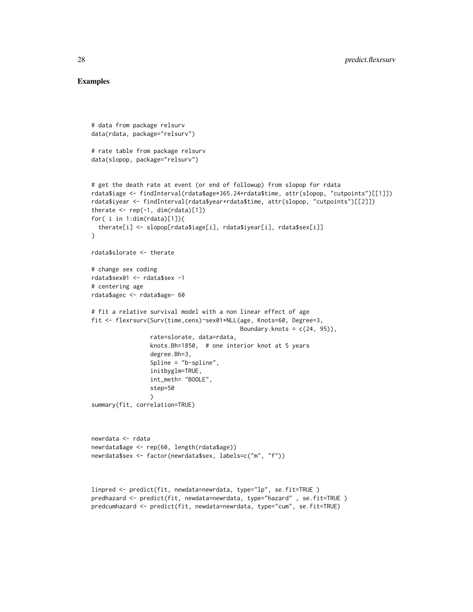#### Examples

```
# data from package relsurv
data(rdata, package="relsurv")
# rate table from package relsurv
data(slopop, package="relsurv")
# get the death rate at event (or end of followup) from slopop for rdata
rdata$iage <- findInterval(rdata$age*365.24+rdata$time, attr(slopop, "cutpoints")[[1]])
rdata$iyear <- findInterval(rdata$year+rdata$time, attr(slopop, "cutpoints")[[2]])
therate \leq rep(-1, dim(rdata)[1])
for( i in 1:dim(rdata)[1]){
  therate[i] <- slopop[rdata$iage[i], rdata$iyear[i], rdata$sex[i]]
}
rdata$slorate <- therate
# change sex coding
rdata$sex01 <- rdata$sex -1
# centering age
rdata$agec <- rdata$age- 60
# fit a relative survival model with a non linear effect of age
fit <- flexrsurv(Surv(time,cens)~sex01+NLL(age, Knots=60, Degree=3,
                                           Boundary.knots = c(24, 95),
                 rate=slorate, data=rdata,
                 knots.Bh=1850, # one interior knot at 5 years
                 degree.Bh=3,
                 Spline = "b-spline",
                 initbyglm=TRUE,
                 int_meth= "BOOLE",
                 step=50
                 \lambdasummary(fit, correlation=TRUE)
newrdata <- rdata
newrdata$age <- rep(60, length(rdata$age))
newrdata$sex <- factor(newrdata$sex, labels=c("m", "f"))
linpred <- predict(fit, newdata=newrdata, type="lp", se.fit=TRUE )
predhazard <- predict(fit, newdata=newrdata, type="hazard" , se.fit=TRUE )
predcumhazard <- predict(fit, newdata=newrdata, type="cum", se.fit=TRUE)
```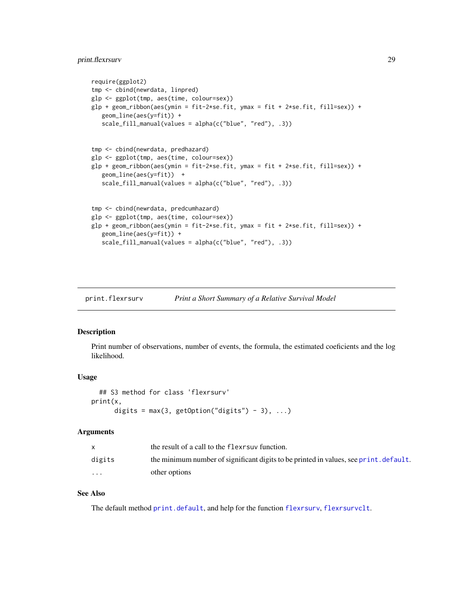# <span id="page-28-0"></span>print.flexrsurv 29

```
require(ggplot2)
tmp <- cbind(newrdata, linpred)
glp <- ggplot(tmp, aes(time, colour=sex))
glp + geom\_ribbon(aes(ymin = fit-2*se.fit, ymax = fit + 2*se.fit, fill=sex)) +geom_line(aes(y=fit)) +
   scale_fill_manual(values = alpha(c("blue", "red"), .3))
tmp <- cbind(newrdata, predhazard)
glp <- ggplot(tmp, aes(time, colour=sex))
glp + geom_ribbon(aes(ymin = fit-2*se.fit, ymax = fit + 2*se.fit, fill=sex)) +
   geom_line(aes(y=fit)) +
   scale_fill_manual(values = alpha(c("blue", "red"), .3))
tmp <- cbind(newrdata, predcumhazard)
glp <- ggplot(tmp, aes(time, colour=sex))
glp + geom_ribbon(aes(ymin = fit-2*se.fit, ymax = fit + 2*se.fit, fill=sex)) +
   geom_line(aes(y=fit)) +
   scale_fill_manual(values = alpha(c("blue", "red"), .3))
```
<span id="page-28-1"></span>print.flexrsurv *Print a Short Summary of a Relative Survival Model*

#### Description

Print number of observations, number of events, the formula, the estimated coeficients and the log likelihood.

#### Usage

```
## S3 method for class 'flexrsurv'
print(x,
     digits = max(3, getOption("digits") - 3), ...
```
#### Arguments

|                         | the result of a call to the flexes is function.                                       |
|-------------------------|---------------------------------------------------------------------------------------|
| digits                  | the minimum number of significant digits to be printed in values, see print. default. |
| $\cdot$ $\cdot$ $\cdot$ | other options                                                                         |

### See Also

The default method [print.default](#page-0-0), and help for the function [flexrsurv](#page-2-1), [flexrsurvclt](#page-7-1).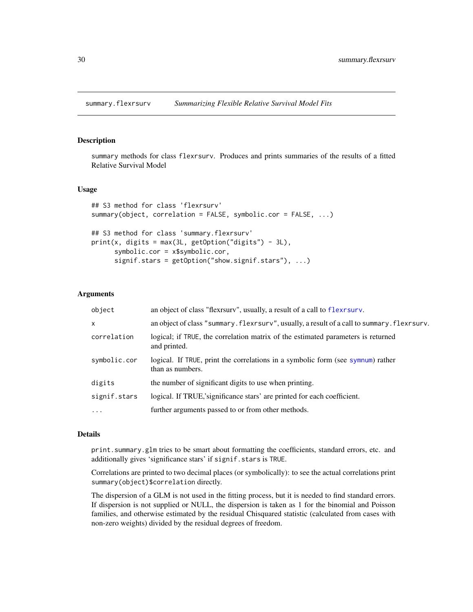#### <span id="page-29-1"></span><span id="page-29-0"></span>Description

summary methods for class flexrsurv. Produces and prints summaries of the results of a fitted Relative Survival Model

#### Usage

```
## S3 method for class 'flexrsurv'
summary(object, correlation = FALSE, symbolic.cor = FALSE, ...)
## S3 method for class 'summary.flexrsurv'
print(x, \text{ digits} = max(3L, \text{ getOption("digits")} - 3L),symbolic.cor = x$symbolic.cor,
      signif.stars = getOption("show.signif.stars"), ...)
```
# **Arguments**

| object       | an object of class "flext surv", usually, a result of a call to flext surv.                         |
|--------------|-----------------------------------------------------------------------------------------------------|
| $\mathsf{x}$ | an object of class "summary. flexes in y usually, a result of a call to summary. flexes urv.        |
| correlation  | logical; if TRUE, the correlation matrix of the estimated parameters is returned<br>and printed.    |
| symbolic.cor | logical. If TRUE, print the correlations in a symbolic form (see sympum) rather<br>than as numbers. |
| digits       | the number of significant digits to use when printing.                                              |
| signif.stars | logical. If TRUE, significance stars' are printed for each coefficient.                             |
| $\cdots$     | further arguments passed to or from other methods.                                                  |

#### Details

print.summary.glm tries to be smart about formatting the coefficients, standard errors, etc. and additionally gives 'significance stars' if signif.stars is TRUE.

Correlations are printed to two decimal places (or symbolically): to see the actual correlations print summary(object)\$correlation directly.

The dispersion of a GLM is not used in the fitting process, but it is needed to find standard errors. If dispersion is not supplied or NULL, the dispersion is taken as 1 for the binomial and Poisson families, and otherwise estimated by the residual Chisquared statistic (calculated from cases with non-zero weights) divided by the residual degrees of freedom.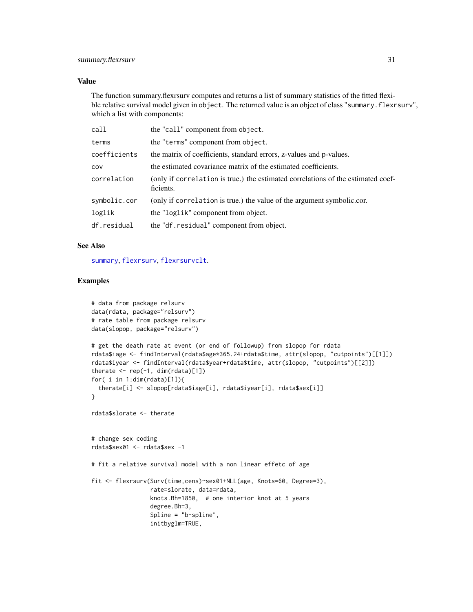#### <span id="page-30-0"></span>Value

The function summary.flexrsurv computes and returns a list of summary statistics of the fitted flexible relative survival model given in object. The returned value is an object of class "summary. flexrsurv", which a list with components:

| call         | the "call" component from object.                                                             |
|--------------|-----------------------------------------------------------------------------------------------|
| terms        | the "terms" component from object.                                                            |
| coefficients | the matrix of coefficients, standard errors, z-values and p-values.                           |
| cov          | the estimated covariance matrix of the estimated coefficients.                                |
| correlation  | (only if correlation is true.) the estimated correlations of the estimated coef-<br>ficients. |
| symbolic.cor | (only if correlation is true.) the value of the argument symbolic.cor.                        |
| loglik       | the "loglik" component from object.                                                           |
| df.residual  | the "df.residual" component from object.                                                      |

#### See Also

[summary](#page-0-0), [flexrsurv](#page-2-1), [flexrsurvclt](#page-7-1).

#### Examples

```
# data from package relsurv
data(rdata, package="relsurv")
# rate table from package relsurv
data(slopop, package="relsurv")
# get the death rate at event (or end of followup) from slopop for rdata
rdata$iage <- findInterval(rdata$age*365.24+rdata$time, attr(slopop, "cutpoints")[[1]])
rdata$iyear <- findInterval(rdata$year+rdata$time, attr(slopop, "cutpoints")[[2]])
therate \leq rep(-1, dim(rdata)[1])
for( i in 1:dim(rdata)[1]){
  therate[i] <- slopop[rdata$iage[i], rdata$iyear[i], rdata$sex[i]]
}
rdata$slorate <- therate
# change sex coding
rdata$sex01 <- rdata$sex -1
# fit a relative survival model with a non linear effetc of age
fit <- flexrsurv(Surv(time,cens)~sex01+NLL(age, Knots=60, Degree=3),
                 rate=slorate, data=rdata,
                 knots.Bh=1850, # one interior knot at 5 years
                 degree.Bh=3,
                 Spline = "b-spline",
                 initbyglm=TRUE,
```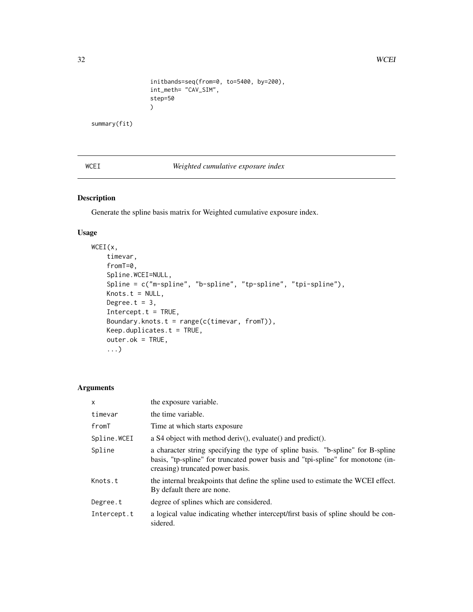```
initbands=seq(from=0, to=5400, by=200),
int_meth= "CAV_SIM",
step=50
\mathcal{L}
```
<span id="page-31-0"></span>summary(fit)

WCEI *Weighted cumulative exposure index*

# Description

Generate the spline basis matrix for Weighted cumulative exposure index.

#### Usage

```
WCEI(x,
    timevar,
   fromT=0,
   Spline.WCEI=NULL,
   Spline = c("m-spline", "b-spline", "tp-spline", "tpi-spline"),
   Knots.t = NULL,Degree.t = 3,
    Intercept.t = TRUE,Boundary.knots.t = range(c(timevar, fromT)),
   Keep.duplicates.t = TRUE,
   outer.ok = TRUE,
    ...)
```
#### Arguments

| $\mathsf{x}$ | the exposure variable.                                                                                                                                                                                 |
|--------------|--------------------------------------------------------------------------------------------------------------------------------------------------------------------------------------------------------|
| timevar      | the time variable.                                                                                                                                                                                     |
| fromT        | Time at which starts exposure.                                                                                                                                                                         |
| Spline.WCEI  | a S4 object with method deriv(), evaluate() and predict().                                                                                                                                             |
| Spline       | a character string specifying the type of spline basis. "b-spline" for B-spline<br>basis, "tp-spline" for truncated power basis and "tpi-spline" for monotone (in-<br>creasing) truncated power basis. |
| Knots.t      | the internal breakpoints that define the spline used to estimate the WCEI effect.<br>By default there are none.                                                                                        |
| Degree.t     | degree of splines which are considered.                                                                                                                                                                |
| Intercept.t  | a logical value indicating whether intercept/first basis of spline should be con-<br>sidered.                                                                                                          |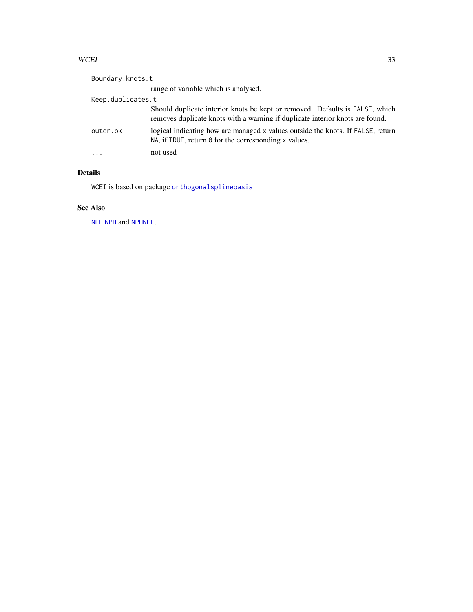#### <span id="page-32-0"></span>WCEI 33

| Boundary.knots.t        |                                                                                                                                                               |  |
|-------------------------|---------------------------------------------------------------------------------------------------------------------------------------------------------------|--|
|                         | range of variable which is analysed.                                                                                                                          |  |
| Keep.duplicates.t       |                                                                                                                                                               |  |
|                         | Should duplicate interior knots be kept or removed. Defaults is FALSE, which<br>removes duplicate knots with a warning if duplicate interior knots are found. |  |
| outer.ok                | logical indicating how are managed x values outside the knots. If FALSE, return<br>NA, if TRUE, return $\theta$ for the corresponding x values.               |  |
| $\cdot$ $\cdot$ $\cdot$ | not used                                                                                                                                                      |  |

# Details

WCEI is based on package [orthogonalsplinebasis](#page-0-0)

# See Also

[NLL](#page-22-1) [NPH](#page-23-1) and [NPHNLL](#page-24-1).